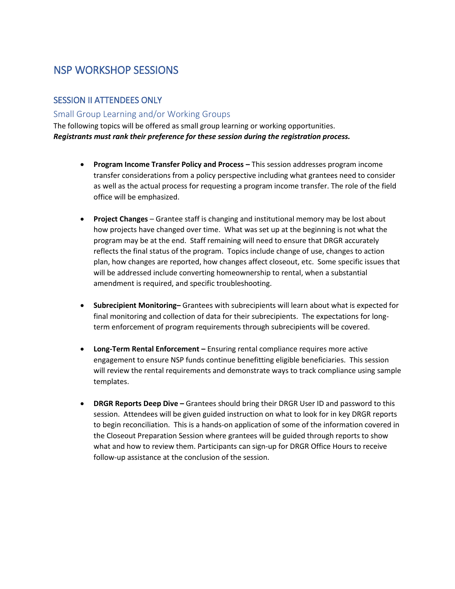# NSP WORKSHOP SESSIONS

## SESSION II ATTENDEES ONLY

### Small Group Learning and/or Working Groups

The following topics will be offered as small group learning or working opportunities. *Registrants must rank their preference for these session during the registration process.*

- **Program Income Transfer Policy and Process –** This session addresses program income transfer considerations from a policy perspective including what grantees need to consider as well as the actual process for requesting a program income transfer. The role of the field office will be emphasized.
- **Project Changes**  Grantee staff is changing and institutional memory may be lost about how projects have changed over time. What was set up at the beginning is not what the program may be at the end. Staff remaining will need to ensure that DRGR accurately reflects the final status of the program. Topics include change of use, changes to action plan, how changes are reported, how changes affect closeout, etc. Some specific issues that will be addressed include converting homeownership to rental, when a substantial amendment is required, and specific troubleshooting.
- **Subrecipient Monitoring–** Grantees with subrecipients will learn about what is expected for final monitoring and collection of data for their subrecipients. The expectations for longterm enforcement of program requirements through subrecipients will be covered.
- **Long-Term Rental Enforcement –** Ensuring rental compliance requires more active engagement to ensure NSP funds continue benefitting eligible beneficiaries. This session will review the rental requirements and demonstrate ways to track compliance using sample templates.
- **DRGR Reports Deep Dive –** Grantees should bring their DRGR User ID and password to this session. Attendees will be given guided instruction on what to look for in key DRGR reports to begin reconciliation. This is a hands-on application of some of the information covered in the Closeout Preparation Session where grantees will be guided through reports to show what and how to review them. Participants can sign-up for DRGR Office Hours to receive follow-up assistance at the conclusion of the session.